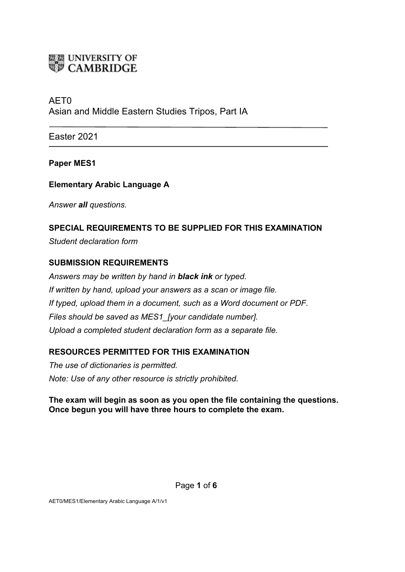

# AET0 Asian and Middle Eastern Studies Tripos, Part IA

Easter 2021

### **Paper MES1**

### **Elementary Arabic Language A**

*Answer all questions.*

# **SPECIAL REQUIREMENTS TO BE SUPPLIED FOR THIS EXAMINATION**

*Student declaration form*

### **SUBMISSION REQUIREMENTS**

*Answers may be written by hand in black ink or typed. If written by hand, upload your answers as a scan or image file. If typed, upload them in a document, such as a Word document or PDF. Files should be saved as MES1\_[your candidate number]. Upload a completed student declaration form as a separate file.*

## **RESOURCES PERMITTED FOR THIS EXAMINATION**

*The use of dictionaries is permitted. Note: Use of any other resource is strictly prohibited.*

#### **The exam will begin as soon as you open the file containing the questions. Once begun you will have three hours to complete the exam.**

AET0/MES1/Elementary Arabic Language A/1/v1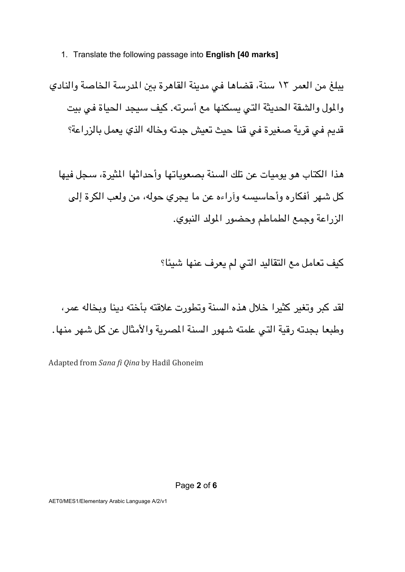#### 1. Translate the following passage into **English [40 marks]**

يبلغ من العمر ١٣ سنة، قضاها في مدينة القاهرة بين المدرسة الخاصة والنادي والمول والشقة الحديثة التي يسكنها مع أسرته. كيف سيجد الحياة في بيت قديم في قرية صغيرة في قنا حيث تعيش جدته وخاله الذي يعمل بالزراعة؟

هذا الكتاب هو يوميات عن تلك السنة يصعوباتها وأحداثها للثيرة، سحل فيها كل شهر أفكار ه وأحاسيسه وأراءه عن ما يجري حوله، من ولعب الكرة إلى الزراعة وجمع الطماطم وحضور المولد النبوي.

كيف تعامل مع التقاليد التي لم يعرف عنها شيئًا؟

لقد كبر وتغير كثيرا خلال هذه السنة وتطورت علاقته بأخته دبنا وبخاله عمر ، وطبعا بجدته رقية التي علمته شهور السنة المصرية والأمثال عن كل شهر منها.

Adapted from *Sana fi Qina* by Hadil Ghoneim

AET0/MES1/Elementary Arabic Language A/2/v1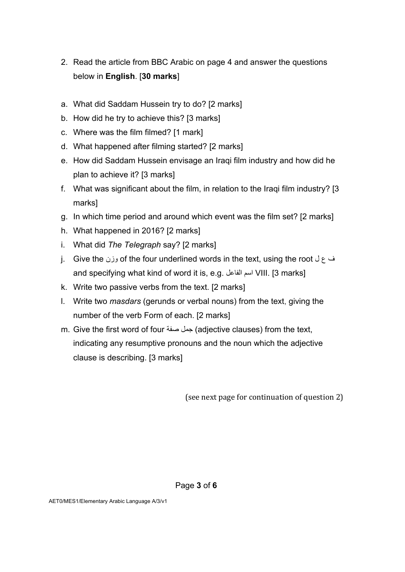- 2. Read the article from BBC Arabic on page 4 and answer the questions below in **English**. [**30 marks**]
- a. What did Saddam Hussein try to do? [2 marks]
- b. How did he try to achieve this? [3 marks]
- c. Where was the film filmed? [1 mark]
- d. What happened after filming started? [2 marks]
- e. How did Saddam Hussein envisage an Iraqi film industry and how did he plan to achieve it? [3 marks]
- f. What was significant about the film, in relation to the Iraqi film industry? [3 marks]
- g. In which time period and around which event was the film set? [2 marks]
- h. What happened in 2016? [2 marks]
- i. What did *The Telegraph* say? [2 marks]
- j. Give the رزن of the four underlined words in the text, using the root وزن and specifying what kind of word it is, e.g. مسا لعافلا VIII. [3 marks]
- k. Write two passive verbs from the text. [2 marks]
- l. Write two *masdars* (gerunds or verbal nouns) from the text, giving the number of the verb Form of each. [2 marks]
- m. Give the first word of four جمل صفة (adjective clauses) from the text, indicating any resumptive pronouns and the noun which the adjective clause is describing. [3 marks]

(see next page for continuation of question 2)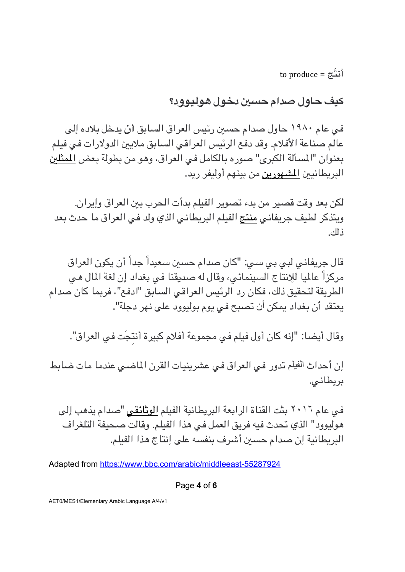to produce =  $\tilde{\mathcal{E}}$ 

**فيك لواح مادص يسح لوخد ؟دوويلوه**

في عام ١٩٨٠ حاول صدام حسين رئيس العراق السابق أ*ن* يدخل بلاده إلى عالم صناعة الأفلام. وقد دفع الرئيس العراقبي السابق ملايين الدولارات في فيلم بعنوان "المسألة الكبرى" صوره بالكامل في العراق، وهو من بطولة بعض <u>المثلين</u> البريطانيين <u>المشهورين</u> من بينهم أوليفر ريد.

لكن بعد وقت قصير من بدء تصوير الفيلم بدأت الحرب ببن العراق وإيران. ويتذكر لطيف جريفاني منتج الفيلم البريطاني الذي ولد في العراق ما حدث بعد كلذ .

قال جريفاني لبي بي سي: "كان صدام حسين سعيداً جداً أن يكون العراق مركزاً عالميا للإنتاج السينمائي، وقال له صديقنا في بغداد إن لغة المال هي الطريقة لتحقيق ذلك، فكان رد الرئيس العراقي السابق "ادفع"، فربما كان صدام يعتقد أن بغداد يمكن أن تصبح في يوم بوليوود على نهر دجلة".

وقال أيضا: "إنه كان أول فيلم في مجموعة أفلام كبيرة أنتجَت في العراق".

إن أحداث الفيلم تدور في العراق في عشرينيات القرن الماضيي عندما مات ضابط بريطاني.

في عام ٢٠١٦ بثت القناة الرابعة البريطانية الفيلم <u>الوثائقي</u> "صدام يذهب إلى هوليوود" الذي تحدث فيه فريق العمل في هذا الفيلم. وقالت صحيفة التلغراف البريطانية إن صدام حسين أشرف بنفسه على إنتاج هذا الفيلم.

Adapted from https://www.bbc.com/arabic/middleeast-55287924

Page **4** of **6**

AET0/MES1/Elementary Arabic Language A/4/v1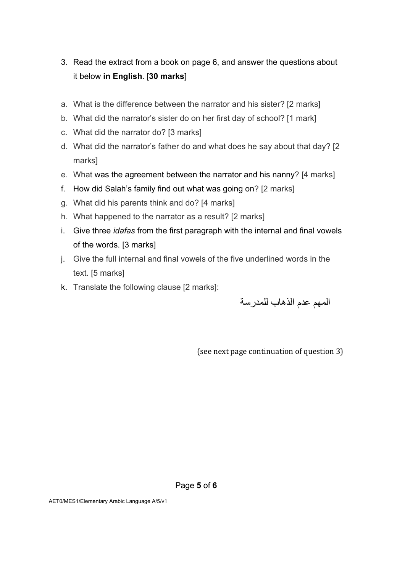- 3. Read the extract from a book on page 6, and answer the questions about it below **in English**. [**30 marks**]
- a. What is the difference between the narrator and his sister? [2 marks]
- b. What did the narrator's sister do on her first day of school? [1 mark]
- c. What did the narrator do? [3 marks]
- d. What did the narrator's father do and what does he say about that day? [2 marks]
- e. What was the agreement between the narrator and his nanny? [4 marks]
- f. How did Salah's family find out what was going on? [2 marks]
- g. What did his parents think and do? [4 marks]
- h. What happened to the narrator as a result? [2 marks]
- i. Give three *idafas* from the first paragraph with the internal and final vowels of the words. [3 marks]
- j. Give the full internal and final vowels of the five underlined words in the text. [5 marks]
- k. Translate the following clause [2 marks]:

المهم عدم الذهاب للمدرسة

(see next page continuation of question 3)